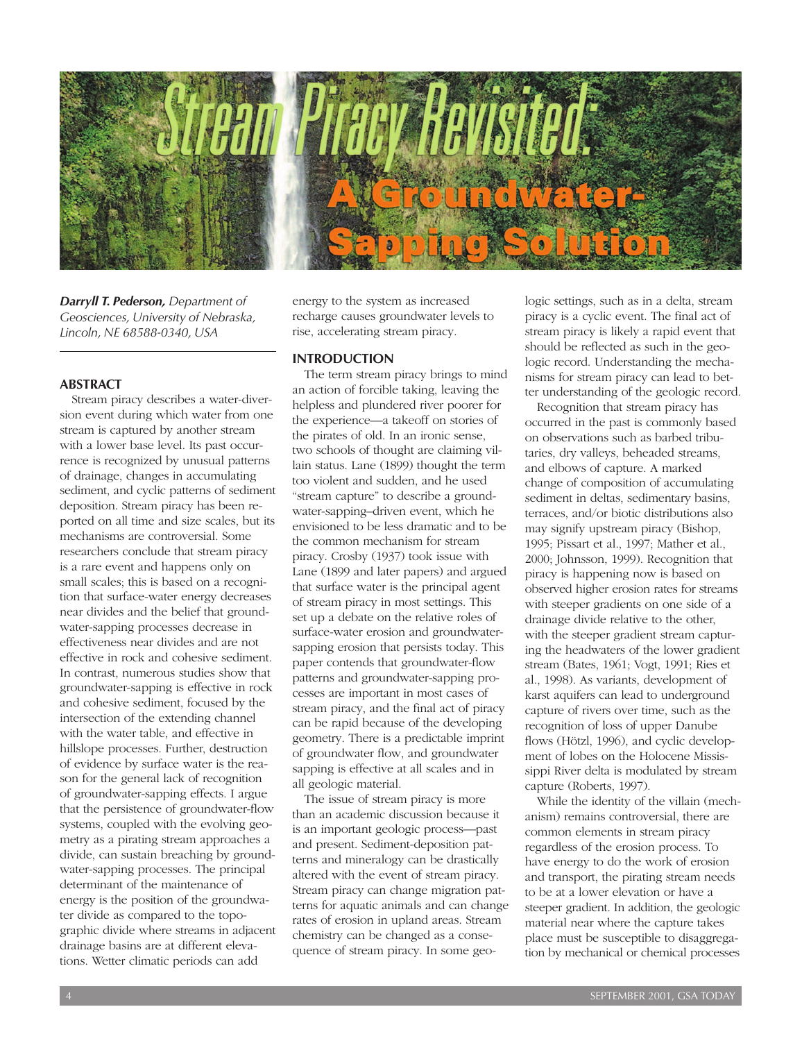

*Darryll T. Pederson, Department of Geosciences, University of Nebraska, Lincoln, NE 68588-0340, USA*

#### **ABSTRACT**

Stream piracy describes a water-diversion event during which water from one stream is captured by another stream with a lower base level. Its past occurrence is recognized by unusual patterns of drainage, changes in accumulating sediment, and cyclic patterns of sediment deposition. Stream piracy has been reported on all time and size scales, but its mechanisms are controversial. Some researchers conclude that stream piracy is a rare event and happens only on small scales; this is based on a recognition that surface-water energy decreases near divides and the belief that groundwater-sapping processes decrease in effectiveness near divides and are not effective in rock and cohesive sediment. In contrast, numerous studies show that groundwater-sapping is effective in rock and cohesive sediment, focused by the intersection of the extending channel with the water table, and effective in hillslope processes. Further, destruction of evidence by surface water is the reason for the general lack of recognition of groundwater-sapping effects. I argue that the persistence of groundwater-flow systems, coupled with the evolving geometry as a pirating stream approaches a divide, can sustain breaching by groundwater-sapping processes. The principal determinant of the maintenance of energy is the position of the groundwater divide as compared to the topographic divide where streams in adjacent drainage basins are at different elevations. Wetter climatic periods can add

energy to the system as increased recharge causes groundwater levels to rise, accelerating stream piracy.

## **INTRODUCTION**

The term stream piracy brings to mind an action of forcible taking, leaving the helpless and plundered river poorer for the experience—a takeoff on stories of the pirates of old. In an ironic sense, two schools of thought are claiming villain status. Lane (1899) thought the term too violent and sudden, and he used "stream capture" to describe a groundwater-sapping–driven event, which he envisioned to be less dramatic and to be the common mechanism for stream piracy. Crosby (1937) took issue with Lane (1899 and later papers) and argued that surface water is the principal agent of stream piracy in most settings. This set up a debate on the relative roles of surface-water erosion and groundwatersapping erosion that persists today. This paper contends that groundwater-flow patterns and groundwater-sapping processes are important in most cases of stream piracy, and the final act of piracy can be rapid because of the developing geometry. There is a predictable imprint of groundwater flow, and groundwater sapping is effective at all scales and in all geologic material.

The issue of stream piracy is more than an academic discussion because it is an important geologic process—past and present. Sediment-deposition patterns and mineralogy can be drastically altered with the event of stream piracy. Stream piracy can change migration patterns for aquatic animals and can change rates of erosion in upland areas. Stream chemistry can be changed as a consequence of stream piracy. In some geo-

logic settings, such as in a delta, stream piracy is a cyclic event. The final act of stream piracy is likely a rapid event that should be reflected as such in the geologic record. Understanding the mechanisms for stream piracy can lead to better understanding of the geologic record.

Recognition that stream piracy has occurred in the past is commonly based on observations such as barbed tributaries, dry valleys, beheaded streams, and elbows of capture. A marked change of composition of accumulating sediment in deltas, sedimentary basins, terraces, and/or biotic distributions also may signify upstream piracy (Bishop, 1995; Pissart et al., 1997; Mather et al., 2000; Johnsson, 1999). Recognition that piracy is happening now is based on observed higher erosion rates for streams with steeper gradients on one side of a drainage divide relative to the other, with the steeper gradient stream capturing the headwaters of the lower gradient stream (Bates, 1961; Vogt, 1991; Ries et al., 1998). As variants, development of karst aquifers can lead to underground capture of rivers over time, such as the recognition of loss of upper Danube flows (Hötzl, 1996), and cyclic development of lobes on the Holocene Mississippi River delta is modulated by stream capture (Roberts, 1997).

While the identity of the villain (mechanism) remains controversial, there are common elements in stream piracy regardless of the erosion process. To have energy to do the work of erosion and transport, the pirating stream needs to be at a lower elevation or have a steeper gradient. In addition, the geologic material near where the capture takes place must be susceptible to disaggregation by mechanical or chemical processes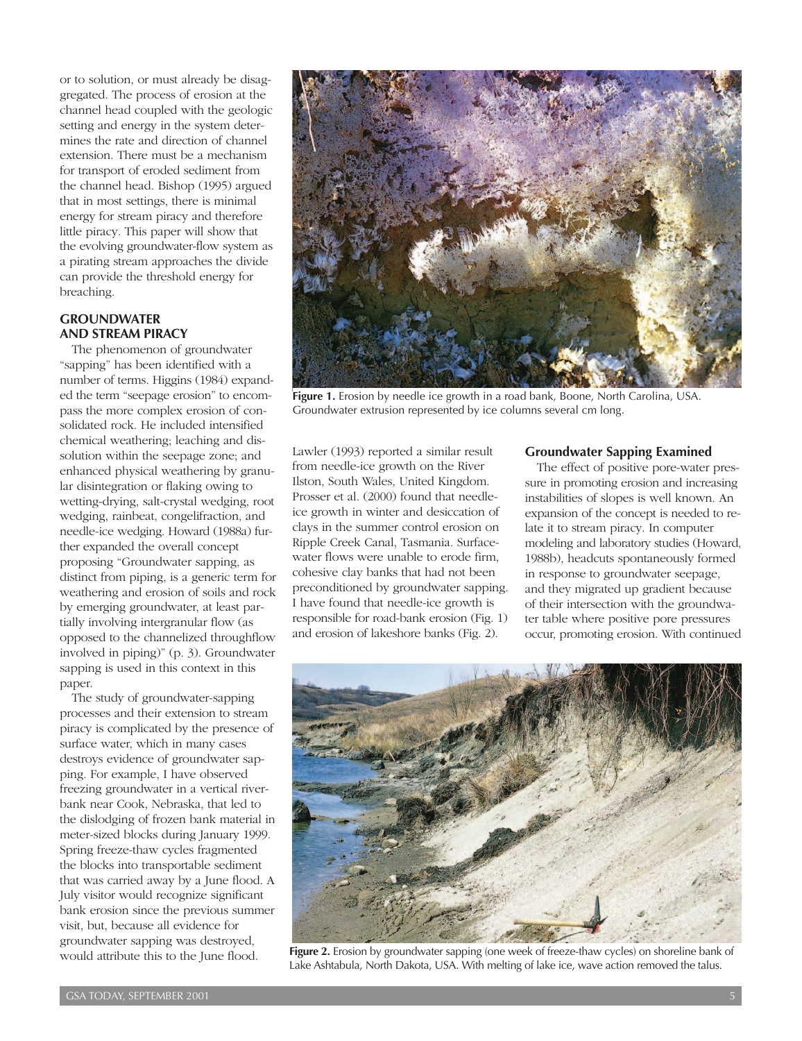or to solution, or must already be disaggregated. The process of erosion at the channel head coupled with the geologic setting and energy in the system determines the rate and direction of channel extension. There must be a mechanism for transport of eroded sediment from the channel head. Bishop (1995) argued that in most settings, there is minimal energy for stream piracy and therefore little piracy. This paper will show that the evolving groundwater-flow system as a pirating stream approaches the divide can provide the threshold energy for breaching.

#### **GROUNDWATER AND STREAM PIRACY**

The phenomenon of groundwater "sapping" has been identified with a number of terms. Higgins (1984) expanded the term "seepage erosion" to encompass the more complex erosion of consolidated rock. He included intensified chemical weathering; leaching and dissolution within the seepage zone; and enhanced physical weathering by granular disintegration or flaking owing to wetting-drying, salt-crystal wedging, root wedging, rainbeat, congelifraction, and needle-ice wedging. Howard (1988a) further expanded the overall concept proposing "Groundwater sapping, as distinct from piping, is a generic term for weathering and erosion of soils and rock by emerging groundwater, at least partially involving intergranular flow (as opposed to the channelized throughflow involved in piping)" (p. 3). Groundwater sapping is used in this context in this paper.

The study of groundwater-sapping processes and their extension to stream piracy is complicated by the presence of surface water, which in many cases destroys evidence of groundwater sapping. For example, I have observed freezing groundwater in a vertical riverbank near Cook, Nebraska, that led to the dislodging of frozen bank material in meter-sized blocks during January 1999. Spring freeze-thaw cycles fragmented the blocks into transportable sediment that was carried away by a June flood. A July visitor would recognize significant bank erosion since the previous summer visit, but, because all evidence for groundwater sapping was destroyed, would attribute this to the June flood.



**Figure 1.** Erosion by needle ice growth in a road bank, Boone, North Carolina, USA. Groundwater extrusion represented by ice columns several cm long.

Lawler (1993) reported a similar result from needle-ice growth on the River Ilston, South Wales, United Kingdom. Prosser et al. (2000) found that needleice growth in winter and desiccation of clays in the summer control erosion on Ripple Creek Canal, Tasmania. Surfacewater flows were unable to erode firm, cohesive clay banks that had not been preconditioned by groundwater sapping. I have found that needle-ice growth is responsible for road-bank erosion (Fig. 1) and erosion of lakeshore banks (Fig. 2).

#### **Groundwater Sapping Examined**

The effect of positive pore-water pressure in promoting erosion and increasing instabilities of slopes is well known. An expansion of the concept is needed to relate it to stream piracy. In computer modeling and laboratory studies (Howard, 1988b), headcuts spontaneously formed in response to groundwater seepage, and they migrated up gradient because of their intersection with the groundwater table where positive pore pressures occur, promoting erosion. With continued



**Figure 2.** Erosion by groundwater sapping (one week of freeze-thaw cycles) on shoreline bank of Lake Ashtabula, North Dakota, USA. With melting of lake ice, wave action removed the talus.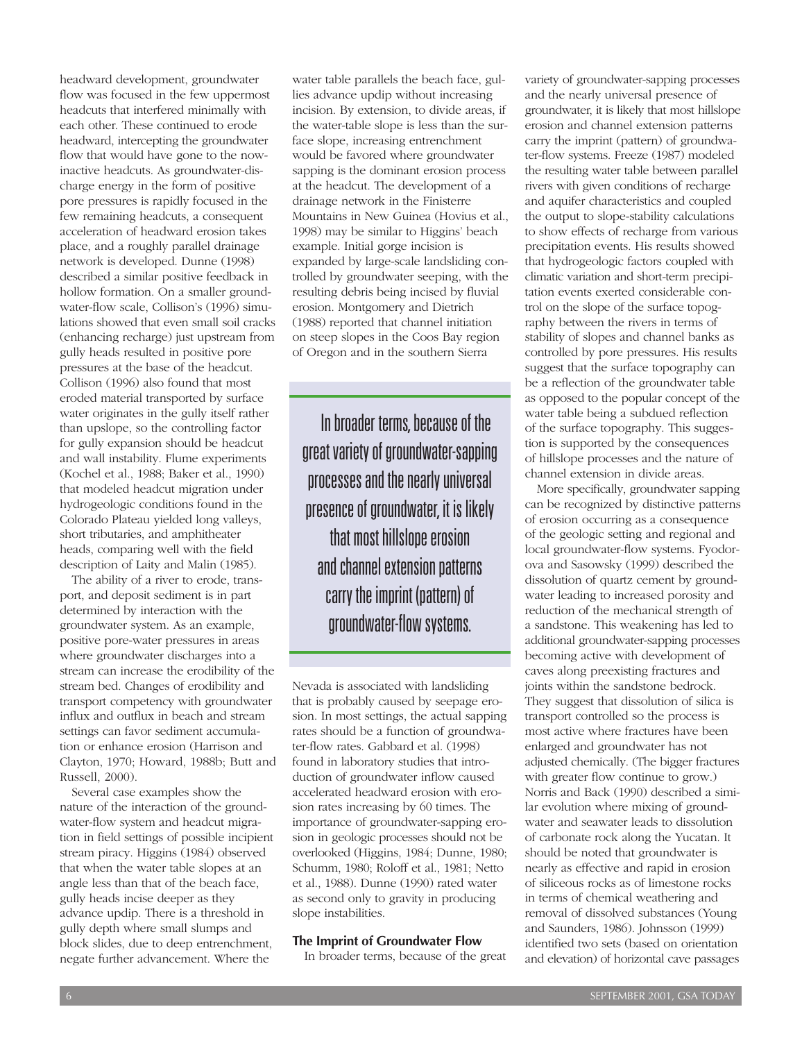headward development, groundwater flow was focused in the few uppermost headcuts that interfered minimally with each other. These continued to erode headward, intercepting the groundwater flow that would have gone to the nowinactive headcuts. As groundwater-discharge energy in the form of positive pore pressures is rapidly focused in the few remaining headcuts, a consequent acceleration of headward erosion takes place, and a roughly parallel drainage network is developed. Dunne (1998) described a similar positive feedback in hollow formation. On a smaller groundwater-flow scale, Collison's (1996) simulations showed that even small soil cracks (enhancing recharge) just upstream from gully heads resulted in positive pore pressures at the base of the headcut. Collison (1996) also found that most eroded material transported by surface water originates in the gully itself rather than upslope, so the controlling factor for gully expansion should be headcut and wall instability. Flume experiments (Kochel et al., 1988; Baker et al., 1990) that modeled headcut migration under hydrogeologic conditions found in the Colorado Plateau yielded long valleys, short tributaries, and amphitheater heads, comparing well with the field description of Laity and Malin (1985).

The ability of a river to erode, transport, and deposit sediment is in part determined by interaction with the groundwater system. As an example, positive pore-water pressures in areas where groundwater discharges into a stream can increase the erodibility of the stream bed. Changes of erodibility and transport competency with groundwater influx and outflux in beach and stream settings can favor sediment accumulation or enhance erosion (Harrison and Clayton, 1970; Howard, 1988b; Butt and Russell, 2000).

Several case examples show the nature of the interaction of the groundwater-flow system and headcut migration in field settings of possible incipient stream piracy. Higgins (1984) observed that when the water table slopes at an angle less than that of the beach face, gully heads incise deeper as they advance updip. There is a threshold in gully depth where small slumps and block slides, due to deep entrenchment, negate further advancement. Where the

water table parallels the beach face, gullies advance updip without increasing incision. By extension, to divide areas, if the water-table slope is less than the surface slope, increasing entrenchment would be favored where groundwater sapping is the dominant erosion process at the headcut. The development of a drainage network in the Finisterre Mountains in New Guinea (Hovius et al., 1998) may be similar to Higgins' beach example. Initial gorge incision is expanded by large-scale landsliding controlled by groundwater seeping, with the resulting debris being incised by fluvial erosion. Montgomery and Dietrich (1988) reported that channel initiation on steep slopes in the Coos Bay region of Oregon and in the southern Sierra

In broader terms, because of the great variety of groundwater-sapping processes and the nearly universal presence of groundwater, it is likely that most hillslope erosion and channel extension patterns carry the imprint (pattern) of groundwater-flow systems.

Nevada is associated with landsliding that is probably caused by seepage erosion. In most settings, the actual sapping rates should be a function of groundwater-flow rates. Gabbard et al. (1998) found in laboratory studies that introduction of groundwater inflow caused accelerated headward erosion with erosion rates increasing by 60 times. The importance of groundwater-sapping erosion in geologic processes should not be overlooked (Higgins, 1984; Dunne, 1980; Schumm, 1980; Roloff et al., 1981; Netto et al., 1988). Dunne (1990) rated water as second only to gravity in producing slope instabilities.

# **The Imprint of Groundwater Flow**

In broader terms, because of the great

variety of groundwater-sapping processes and the nearly universal presence of groundwater, it is likely that most hillslope erosion and channel extension patterns carry the imprint (pattern) of groundwater-flow systems. Freeze (1987) modeled the resulting water table between parallel rivers with given conditions of recharge and aquifer characteristics and coupled the output to slope-stability calculations to show effects of recharge from various precipitation events. His results showed that hydrogeologic factors coupled with climatic variation and short-term precipitation events exerted considerable control on the slope of the surface topography between the rivers in terms of stability of slopes and channel banks as controlled by pore pressures. His results suggest that the surface topography can be a reflection of the groundwater table as opposed to the popular concept of the water table being a subdued reflection of the surface topography. This suggestion is supported by the consequences of hillslope processes and the nature of channel extension in divide areas.

More specifically, groundwater sapping can be recognized by distinctive patterns of erosion occurring as a consequence of the geologic setting and regional and local groundwater-flow systems. Fyodorova and Sasowsky (1999) described the dissolution of quartz cement by groundwater leading to increased porosity and reduction of the mechanical strength of a sandstone. This weakening has led to additional groundwater-sapping processes becoming active with development of caves along preexisting fractures and joints within the sandstone bedrock. They suggest that dissolution of silica is transport controlled so the process is most active where fractures have been enlarged and groundwater has not adjusted chemically. (The bigger fractures with greater flow continue to grow.) Norris and Back (1990) described a similar evolution where mixing of groundwater and seawater leads to dissolution of carbonate rock along the Yucatan. It should be noted that groundwater is nearly as effective and rapid in erosion of siliceous rocks as of limestone rocks in terms of chemical weathering and removal of dissolved substances (Young and Saunders, 1986). Johnsson (1999) identified two sets (based on orientation and elevation) of horizontal cave passages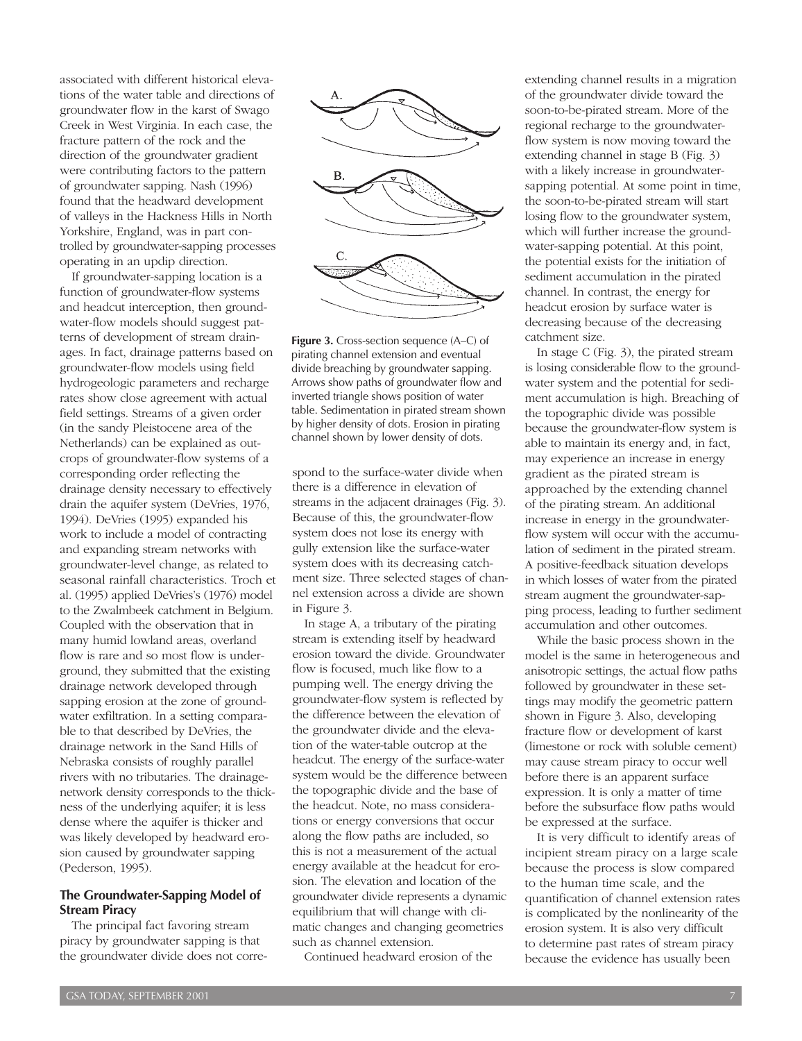associated with different historical elevations of the water table and directions of groundwater flow in the karst of Swago Creek in West Virginia. In each case, the fracture pattern of the rock and the direction of the groundwater gradient were contributing factors to the pattern of groundwater sapping. Nash (1996) found that the headward development of valleys in the Hackness Hills in North Yorkshire, England, was in part controlled by groundwater-sapping processes operating in an updip direction.

If groundwater-sapping location is a function of groundwater-flow systems and headcut interception, then groundwater-flow models should suggest patterns of development of stream drainages. In fact, drainage patterns based on groundwater-flow models using field hydrogeologic parameters and recharge rates show close agreement with actual field settings. Streams of a given order (in the sandy Pleistocene area of the Netherlands) can be explained as outcrops of groundwater-flow systems of a corresponding order reflecting the drainage density necessary to effectively drain the aquifer system (DeVries, 1976, 1994). DeVries (1995) expanded his work to include a model of contracting and expanding stream networks with groundwater-level change, as related to seasonal rainfall characteristics. Troch et al. (1995) applied DeVries's (1976) model to the Zwalmbeek catchment in Belgium. Coupled with the observation that in many humid lowland areas, overland flow is rare and so most flow is underground, they submitted that the existing drainage network developed through sapping erosion at the zone of groundwater exfiltration. In a setting comparable to that described by DeVries, the drainage network in the Sand Hills of Nebraska consists of roughly parallel rivers with no tributaries. The drainagenetwork density corresponds to the thickness of the underlying aquifer; it is less dense where the aquifer is thicker and was likely developed by headward erosion caused by groundwater sapping (Pederson, 1995).

#### **The Groundwater-Sapping Model of Stream Piracy**

The principal fact favoring stream piracy by groundwater sapping is that the groundwater divide does not corre-



**Figure 3.** Cross-section sequence (A–C) of pirating channel extension and eventual divide breaching by groundwater sapping. Arrows show paths of groundwater flow and inverted triangle shows position of water table. Sedimentation in pirated stream shown by higher density of dots. Erosion in pirating channel shown by lower density of dots.

spond to the surface-water divide when there is a difference in elevation of streams in the adjacent drainages (Fig. 3). Because of this, the groundwater-flow system does not lose its energy with gully extension like the surface-water system does with its decreasing catchment size. Three selected stages of channel extension across a divide are shown in Figure 3.

In stage A, a tributary of the pirating stream is extending itself by headward erosion toward the divide. Groundwater flow is focused, much like flow to a pumping well. The energy driving the groundwater-flow system is reflected by the difference between the elevation of the groundwater divide and the elevation of the water-table outcrop at the headcut. The energy of the surface-water system would be the difference between the topographic divide and the base of the headcut. Note, no mass considerations or energy conversions that occur along the flow paths are included, so this is not a measurement of the actual energy available at the headcut for erosion. The elevation and location of the groundwater divide represents a dynamic equilibrium that will change with climatic changes and changing geometries such as channel extension.

Continued headward erosion of the

extending channel results in a migration of the groundwater divide toward the soon-to-be-pirated stream. More of the regional recharge to the groundwaterflow system is now moving toward the extending channel in stage B (Fig. 3) with a likely increase in groundwatersapping potential. At some point in time, the soon-to-be-pirated stream will start losing flow to the groundwater system, which will further increase the groundwater-sapping potential. At this point, the potential exists for the initiation of sediment accumulation in the pirated channel. In contrast, the energy for headcut erosion by surface water is decreasing because of the decreasing catchment size.

In stage C (Fig. 3), the pirated stream is losing considerable flow to the groundwater system and the potential for sediment accumulation is high. Breaching of the topographic divide was possible because the groundwater-flow system is able to maintain its energy and, in fact, may experience an increase in energy gradient as the pirated stream is approached by the extending channel of the pirating stream. An additional increase in energy in the groundwaterflow system will occur with the accumulation of sediment in the pirated stream. A positive-feedback situation develops in which losses of water from the pirated stream augment the groundwater-sapping process, leading to further sediment accumulation and other outcomes.

While the basic process shown in the model is the same in heterogeneous and anisotropic settings, the actual flow paths followed by groundwater in these settings may modify the geometric pattern shown in Figure 3. Also, developing fracture flow or development of karst (limestone or rock with soluble cement) may cause stream piracy to occur well before there is an apparent surface expression. It is only a matter of time before the subsurface flow paths would be expressed at the surface.

It is very difficult to identify areas of incipient stream piracy on a large scale because the process is slow compared to the human time scale, and the quantification of channel extension rates is complicated by the nonlinearity of the erosion system. It is also very difficult to determine past rates of stream piracy because the evidence has usually been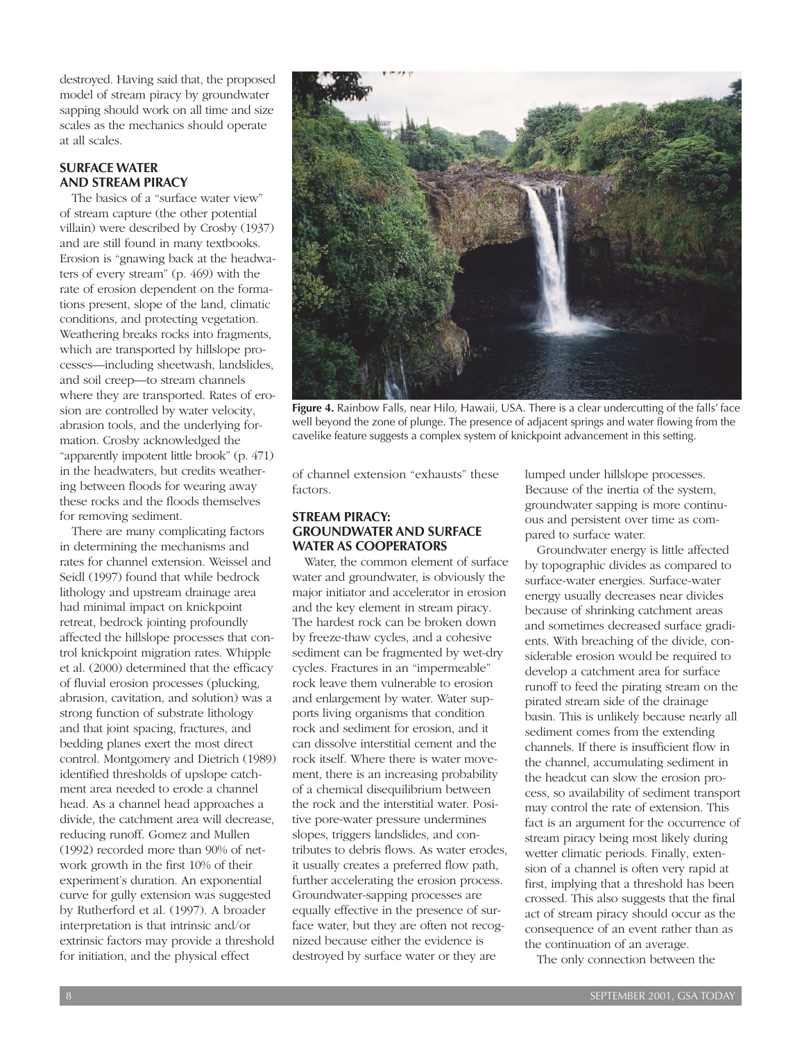destroyed. Having said that, the proposed model of stream piracy by groundwater sapping should work on all time and size scales as the mechanics should operate at all scales.

#### **SURFACE WATER AND STREAM PIRACY**

The basics of a "surface water view" of stream capture (the other potential villain) were described by Crosby (1937) and are still found in many textbooks. Erosion is "gnawing back at the headwaters of every stream" (p. 469) with the rate of erosion dependent on the formations present, slope of the land, climatic conditions, and protecting vegetation. Weathering breaks rocks into fragments, which are transported by hillslope processes—including sheetwash, landslides, and soil creep—to stream channels where they are transported. Rates of erosion are controlled by water velocity, abrasion tools, and the underlying formation. Crosby acknowledged the "apparently impotent little brook" (p. 471) in the headwaters, but credits weathering between floods for wearing away these rocks and the floods themselves for removing sediment.

There are many complicating factors in determining the mechanisms and rates for channel extension. Weissel and Seidl (1997) found that while bedrock lithology and upstream drainage area had minimal impact on knickpoint retreat, bedrock jointing profoundly affected the hillslope processes that control knickpoint migration rates. Whipple et al. (2000) determined that the efficacy of fluvial erosion processes (plucking, abrasion, cavitation, and solution) was a strong function of substrate lithology and that joint spacing, fractures, and bedding planes exert the most direct control. Montgomery and Dietrich (1989) identified thresholds of upslope catchment area needed to erode a channel head. As a channel head approaches a divide, the catchment area will decrease, reducing runoff. Gomez and Mullen (1992) recorded more than 90% of network growth in the first 10% of their experiment's duration. An exponential curve for gully extension was suggested by Rutherford et al. (1997). A broader interpretation is that intrinsic and/or extrinsic factors may provide a threshold for initiation, and the physical effect



**Figure 4.** Rainbow Falls, near Hilo, Hawaii, USA. There is a clear undercutting of the falls' face well beyond the zone of plunge. The presence of adjacent springs and water flowing from the cavelike feature suggests a complex system of knickpoint advancement in this setting.

of channel extension "exhausts" these factors.

### **STREAM PIRACY: GROUNDWATER AND SURFACE WATER AS COOPERATORS**

Water, the common element of surface water and groundwater, is obviously the major initiator and accelerator in erosion and the key element in stream piracy. The hardest rock can be broken down by freeze-thaw cycles, and a cohesive sediment can be fragmented by wet-dry cycles. Fractures in an "impermeable" rock leave them vulnerable to erosion and enlargement by water. Water supports living organisms that condition rock and sediment for erosion, and it can dissolve interstitial cement and the rock itself. Where there is water movement, there is an increasing probability of a chemical disequilibrium between the rock and the interstitial water. Positive pore-water pressure undermines slopes, triggers landslides, and contributes to debris flows. As water erodes, it usually creates a preferred flow path, further accelerating the erosion process. Groundwater-sapping processes are equally effective in the presence of surface water, but they are often not recognized because either the evidence is destroyed by surface water or they are

lumped under hillslope processes. Because of the inertia of the system, groundwater sapping is more continuous and persistent over time as compared to surface water.

Groundwater energy is little affected by topographic divides as compared to surface-water energies. Surface-water energy usually decreases near divides because of shrinking catchment areas and sometimes decreased surface gradients. With breaching of the divide, considerable erosion would be required to develop a catchment area for surface runoff to feed the pirating stream on the pirated stream side of the drainage basin. This is unlikely because nearly all sediment comes from the extending channels. If there is insufficient flow in the channel, accumulating sediment in the headcut can slow the erosion process, so availability of sediment transport may control the rate of extension. This fact is an argument for the occurrence of stream piracy being most likely during wetter climatic periods. Finally, extension of a channel is often very rapid at first, implying that a threshold has been crossed. This also suggests that the final act of stream piracy should occur as the consequence of an event rather than as the continuation of an average.

The only connection between the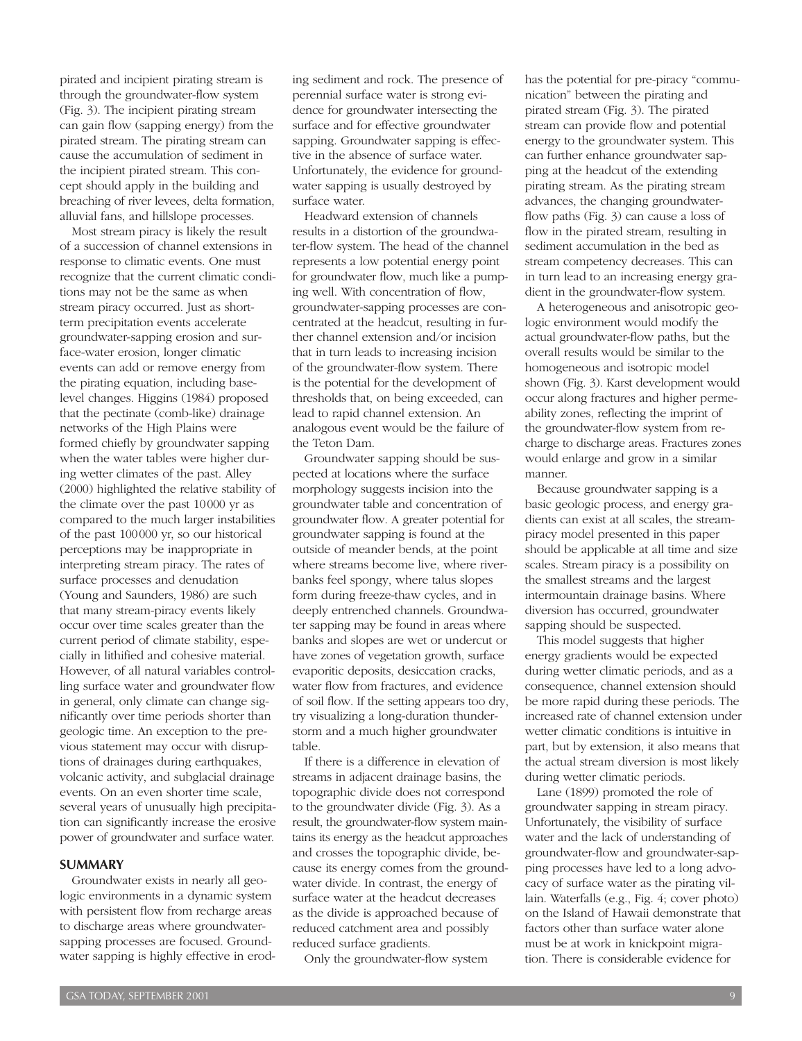pirated and incipient pirating stream is through the groundwater-flow system (Fig. 3). The incipient pirating stream can gain flow (sapping energy) from the pirated stream. The pirating stream can cause the accumulation of sediment in the incipient pirated stream. This concept should apply in the building and breaching of river levees, delta formation, alluvial fans, and hillslope processes.

Most stream piracy is likely the result of a succession of channel extensions in response to climatic events. One must recognize that the current climatic conditions may not be the same as when stream piracy occurred. Just as shortterm precipitation events accelerate groundwater-sapping erosion and surface-water erosion, longer climatic events can add or remove energy from the pirating equation, including baselevel changes. Higgins (1984) proposed that the pectinate (comb-like) drainage networks of the High Plains were formed chiefly by groundwater sapping when the water tables were higher during wetter climates of the past. Alley (2000) highlighted the relative stability of the climate over the past 10000 yr as compared to the much larger instabilities of the past 100000 yr, so our historical perceptions may be inappropriate in interpreting stream piracy. The rates of surface processes and denudation (Young and Saunders, 1986) are such that many stream-piracy events likely occur over time scales greater than the current period of climate stability, especially in lithified and cohesive material. However, of all natural variables controlling surface water and groundwater flow in general, only climate can change significantly over time periods shorter than geologic time. An exception to the previous statement may occur with disruptions of drainages during earthquakes, volcanic activity, and subglacial drainage events. On an even shorter time scale, several years of unusually high precipitation can significantly increase the erosive power of groundwater and surface water.

#### **SUMMARY**

Groundwater exists in nearly all geologic environments in a dynamic system with persistent flow from recharge areas to discharge areas where groundwatersapping processes are focused. Groundwater sapping is highly effective in eroding sediment and rock. The presence of perennial surface water is strong evidence for groundwater intersecting the surface and for effective groundwater sapping. Groundwater sapping is effective in the absence of surface water. Unfortunately, the evidence for groundwater sapping is usually destroyed by surface water.

Headward extension of channels results in a distortion of the groundwater-flow system. The head of the channel represents a low potential energy point for groundwater flow, much like a pumping well. With concentration of flow, groundwater-sapping processes are concentrated at the headcut, resulting in further channel extension and/or incision that in turn leads to increasing incision of the groundwater-flow system. There is the potential for the development of thresholds that, on being exceeded, can lead to rapid channel extension. An analogous event would be the failure of the Teton Dam.

Groundwater sapping should be suspected at locations where the surface morphology suggests incision into the groundwater table and concentration of groundwater flow. A greater potential for groundwater sapping is found at the outside of meander bends, at the point where streams become live, where riverbanks feel spongy, where talus slopes form during freeze-thaw cycles, and in deeply entrenched channels. Groundwater sapping may be found in areas where banks and slopes are wet or undercut or have zones of vegetation growth, surface evaporitic deposits, desiccation cracks, water flow from fractures, and evidence of soil flow. If the setting appears too dry, try visualizing a long-duration thunderstorm and a much higher groundwater table.

If there is a difference in elevation of streams in adjacent drainage basins, the topographic divide does not correspond to the groundwater divide (Fig. 3). As a result, the groundwater-flow system maintains its energy as the headcut approaches and crosses the topographic divide, because its energy comes from the groundwater divide. In contrast, the energy of surface water at the headcut decreases as the divide is approached because of reduced catchment area and possibly reduced surface gradients.

Only the groundwater-flow system

has the potential for pre-piracy "communication" between the pirating and pirated stream (Fig. 3). The pirated stream can provide flow and potential energy to the groundwater system. This can further enhance groundwater sapping at the headcut of the extending pirating stream. As the pirating stream advances, the changing groundwaterflow paths (Fig. 3) can cause a loss of flow in the pirated stream, resulting in sediment accumulation in the bed as stream competency decreases. This can in turn lead to an increasing energy gradient in the groundwater-flow system.

A heterogeneous and anisotropic geologic environment would modify the actual groundwater-flow paths, but the overall results would be similar to the homogeneous and isotropic model shown (Fig. 3). Karst development would occur along fractures and higher permeability zones, reflecting the imprint of the groundwater-flow system from recharge to discharge areas. Fractures zones would enlarge and grow in a similar manner.

Because groundwater sapping is a basic geologic process, and energy gradients can exist at all scales, the streampiracy model presented in this paper should be applicable at all time and size scales. Stream piracy is a possibility on the smallest streams and the largest intermountain drainage basins. Where diversion has occurred, groundwater sapping should be suspected.

This model suggests that higher energy gradients would be expected during wetter climatic periods, and as a consequence, channel extension should be more rapid during these periods. The increased rate of channel extension under wetter climatic conditions is intuitive in part, but by extension, it also means that the actual stream diversion is most likely during wetter climatic periods.

Lane (1899) promoted the role of groundwater sapping in stream piracy. Unfortunately, the visibility of surface water and the lack of understanding of groundwater-flow and groundwater-sapping processes have led to a long advocacy of surface water as the pirating villain. Waterfalls (e.g., Fig. 4; cover photo) on the Island of Hawaii demonstrate that factors other than surface water alone must be at work in knickpoint migration. There is considerable evidence for